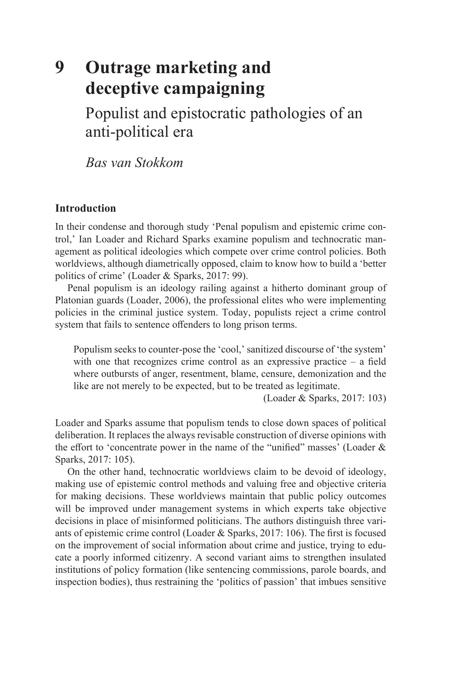# **9 Outrage marketing and deceptive campaigning**

Populist and epistocratic pathologies of an anti-political era

*Bas van Stokkom*

# **Introduction**

In their condense and thorough study 'Penal populism and epistemic crime control,' Ian Loader and Richard Sparks examine populism and technocratic management as political ideologies which compete over crime control policies. Both worldviews, although diametrically opposed, claim to know how to build a 'better politics of crime' (Loader & Sparks, 2017: 99).

Penal populism is an ideology railing against a hitherto dominant group of Platonian guards (Loader, 2006), the professional elites who were implementing policies in the criminal justice system. Today, populists reject a crime control system that fails to sentence offenders to long prison terms.

Populism seeks to counter-pose the 'cool,' sanitized discourse of 'the system' with one that recognizes crime control as an expressive practice  $-$  a field where outbursts of anger, resentment, blame, censure, demonization and the like are not merely to be expected, but to be treated as legitimate.

(Loader & Sparks, 2017: 103)

Loader and Sparks assume that populism tends to close down spaces of political deliberation. It replaces the always revisable construction of diverse opinions with the effort to 'concentrate power in the name of the "unified" masses' (Loader & Sparks, 2017: 105).

On the other hand, technocratic worldviews claim to be devoid of ideology, making use of epistemic control methods and valuing free and objective criteria for making decisions. These worldviews maintain that public policy outcomes will be improved under management systems in which experts take objective decisions in place of misinformed politicians. The authors distinguish three variants of epistemic crime control (Loader & Sparks, 2017: 106). The first is focused on the improvement of social information about crime and justice, trying to educate a poorly informed citizenry. A second variant aims to strengthen insulated institutions of policy formation (like sentencing commissions, parole boards, and inspection bodies), thus restraining the 'politics of passion' that imbues sensitive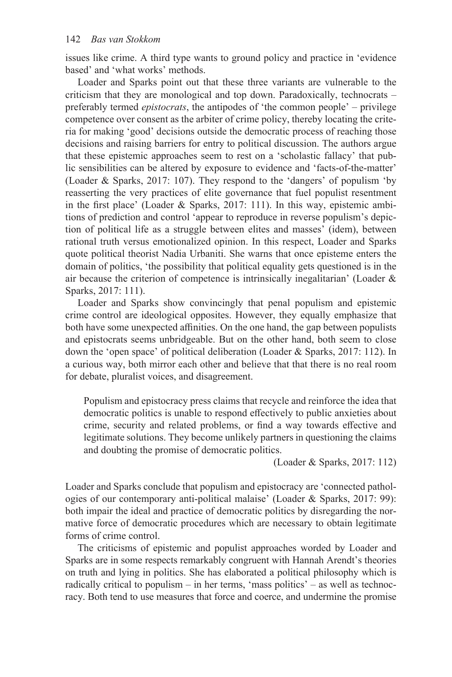issues like crime. A third type wants to ground policy and practice in 'evidence based' and 'what works' methods.

Loader and Sparks point out that these three variants are vulnerable to the criticism that they are monological and top down. Paradoxically, technocrats – preferably termed *epistocrats*, the antipodes of 'the common people' – privilege competence over consent as the arbiter of crime policy, thereby locating the criteria for making 'good' decisions outside the democratic process of reaching those decisions and raising barriers for entry to political discussion. The authors argue that these epistemic approaches seem to rest on a 'scholastic fallacy' that public sensibilities can be altered by exposure to evidence and 'facts-of-the-matter' (Loader & Sparks, 2017: 107). They respond to the 'dangers' of populism 'by reasserting the very practices of elite governance that fuel populist resentment in the first place' (Loader & Sparks, 2017: 111). In this way, epistemic ambitions of prediction and control 'appear to reproduce in reverse populism's depiction of political life as a struggle between elites and masses' (idem), between rational truth versus emotionalized opinion. In this respect, Loader and Sparks quote political theorist Nadia Urbaniti. She warns that once episteme enters the domain of politics, 'the possibility that political equality gets questioned is in the air because the criterion of competence is intrinsically inegalitarian' (Loader & Sparks, 2017: 111).

Loader and Sparks show convincingly that penal populism and epistemic crime control are ideological opposites. However, they equally emphasize that both have some unexpected affinities. On the one hand, the gap between populists and epistocrats seems unbridgeable. But on the other hand, both seem to close down the 'open space' of political deliberation (Loader & Sparks, 2017: 112). In a curious way, both mirror each other and believe that that there is no real room for debate, pluralist voices, and disagreement.

Populism and epistocracy press claims that recycle and reinforce the idea that democratic politics is unable to respond effectively to public anxieties about crime, security and related problems, or find a way towards effective and legitimate solutions. They become unlikely partners in questioning the claims and doubting the promise of democratic politics.

(Loader & Sparks, 2017: 112)

Loader and Sparks conclude that populism and epistocracy are 'connected pathologies of our contemporary anti-political malaise' (Loader & Sparks, 2017: 99): both impair the ideal and practice of democratic politics by disregarding the normative force of democratic procedures which are necessary to obtain legitimate forms of crime control.

The criticisms of epistemic and populist approaches worded by Loader and Sparks are in some respects remarkably congruent with Hannah Arendt's theories on truth and lying in politics. She has elaborated a political philosophy which is radically critical to populism – in her terms, 'mass politics' – as well as technocracy. Both tend to use measures that force and coerce, and undermine the promise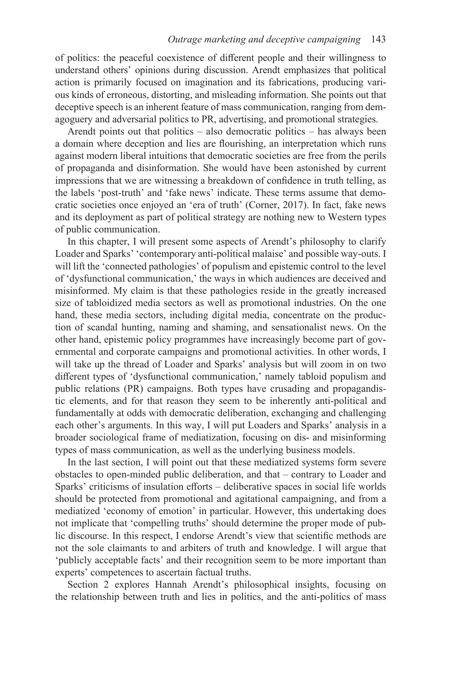of politics: the peaceful coexistence of different people and their willingness to understand others' opinions during discussion. Arendt emphasizes that political action is primarily focused on imagination and its fabrications, producing various kinds of erroneous, distorting, and misleading information. She points out that deceptive speech is an inherent feature of mass communication, ranging from demagoguery and adversarial politics to PR, advertising, and promotional strategies.

Arendt points out that politics – also democratic politics – has always been a domain where deception and lies are flourishing, an interpretation which runs against modern liberal intuitions that democratic societies are free from the perils of propaganda and disinformation. She would have been astonished by current impressions that we are witnessing a breakdown of confidence in truth telling, as the labels 'post-truth' and 'fake news' indicate. These terms assume that democratic societies once enjoyed an 'era of truth' (Corner, 2017). In fact, fake news and its deployment as part of political strategy are nothing new to Western types of public communication.

In this chapter, I will present some aspects of Arendt's philosophy to clarify Loader and Sparks' 'contemporary anti-political malaise' and possible way-outs. I will lift the 'connected pathologies' of populism and epistemic control to the level of 'dysfunctional communication,' the ways in which audiences are deceived and misinformed. My claim is that these pathologies reside in the greatly increased size of tabloidized media sectors as well as promotional industries. On the one hand, these media sectors, including digital media, concentrate on the production of scandal hunting, naming and shaming, and sensationalist news. On the other hand, epistemic policy programmes have increasingly become part of governmental and corporate campaigns and promotional activities. In other words, I will take up the thread of Loader and Sparks' analysis but will zoom in on two different types of 'dysfunctional communication,' namely tabloid populism and public relations (PR) campaigns. Both types have crusading and propagandistic elements, and for that reason they seem to be inherently anti-political and fundamentally at odds with democratic deliberation, exchanging and challenging each other's arguments. In this way, I will put Loaders and Sparks' analysis in a broader sociological frame of mediatization, focusing on dis- and misinforming types of mass communication, as well as the underlying business models.

In the last section, I will point out that these mediatized systems form severe obstacles to open-minded public deliberation, and that – contrary to Loader and Sparks' criticisms of insulation efforts – deliberative spaces in social life worlds should be protected from promotional and agitational campaigning, and from a mediatized 'economy of emotion' in particular. However, this undertaking does not implicate that 'compelling truths' should determine the proper mode of public discourse. In this respect, I endorse Arendt's view that scientific methods are not the sole claimants to and arbiters of truth and knowledge. I will argue that 'publicly acceptable facts' and their recognition seem to be more important than experts' competences to ascertain factual truths.

Section 2 explores Hannah Arendt's philosophical insights, focusing on the relationship between truth and lies in politics, and the anti-politics of mass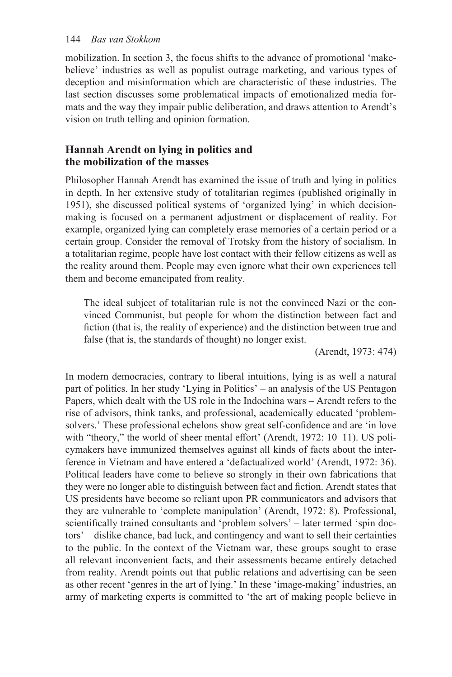# 144 *Bas van Stokkom*

mobilization. In section 3, the focus shifts to the advance of promotional 'makebelieve' industries as well as populist outrage marketing, and various types of deception and misinformation which are characteristic of these industries. The last section discusses some problematical impacts of emotionalized media formats and the way they impair public deliberation, and draws attention to Arendt's vision on truth telling and opinion formation.

# **Hannah Arendt on lying in politics and the mobilization of the masses**

Philosopher Hannah Arendt has examined the issue of truth and lying in politics in depth. In her extensive study of totalitarian regimes (published originally in 1951), she discussed political systems of 'organized lying' in which decisionmaking is focused on a permanent adjustment or displacement of reality. For example, organized lying can completely erase memories of a certain period or a certain group. Consider the removal of Trotsky from the history of socialism. In a totalitarian regime, people have lost contact with their fellow citizens as well as the reality around them. People may even ignore what their own experiences tell them and become emancipated from reality.

The ideal subject of totalitarian rule is not the convinced Nazi or the convinced Communist, but people for whom the distinction between fact and fiction (that is, the reality of experience) and the distinction between true and false (that is, the standards of thought) no longer exist.

(Arendt, 1973: 474)

In modern democracies, contrary to liberal intuitions, lying is as well a natural part of politics. In her study 'Lying in Politics' – an analysis of the US Pentagon Papers, which dealt with the US role in the Indochina wars – Arendt refers to the rise of advisors, think tanks, and professional, academically educated 'problemsolvers.' These professional echelons show great self-confidence and are 'in love with "theory," the world of sheer mental effort' (Arendt, 1972: 10-11). US policymakers have immunized themselves against all kinds of facts about the interference in Vietnam and have entered a 'defactualized world' (Arendt, 1972: 36). Political leaders have come to believe so strongly in their own fabrications that they were no longer able to distinguish between fact and fiction. Arendt states that US presidents have become so reliant upon PR communicators and advisors that they are vulnerable to 'complete manipulation' (Arendt, 1972: 8). Professional, scientifically trained consultants and 'problem solvers' – later termed 'spin doctors' – dislike chance, bad luck, and contingency and want to sell their certainties to the public. In the context of the Vietnam war, these groups sought to erase all relevant inconvenient facts, and their assessments became entirely detached from reality. Arendt points out that public relations and advertising can be seen as other recent 'genres in the art of lying.' In these 'image-making' industries, an army of marketing experts is committed to 'the art of making people believe in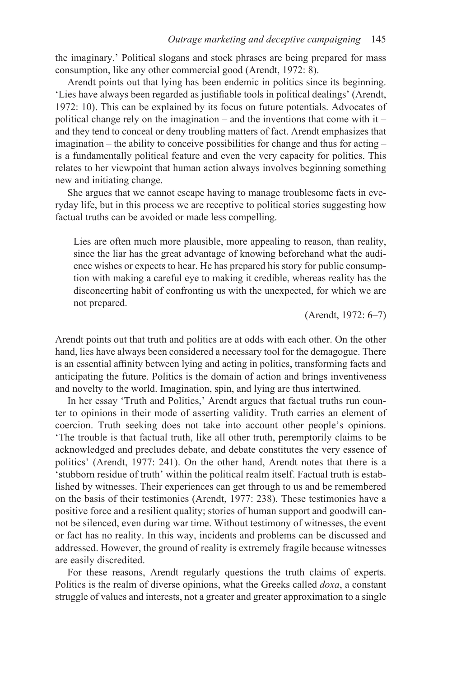the imaginary.' Political slogans and stock phrases are being prepared for mass consumption, like any other commercial good (Arendt, 1972: 8).

Arendt points out that lying has been endemic in politics since its beginning. 'Lies have always been regarded as justifiable tools in political dealings' (Arendt, 1972: 10). This can be explained by its focus on future potentials. Advocates of political change rely on the imagination – and the inventions that come with it – and they tend to conceal or deny troubling matters of fact. Arendt emphasizes that imagination – the ability to conceive possibilities for change and thus for acting – is a fundamentally political feature and even the very capacity for politics. This relates to her viewpoint that human action always involves beginning something new and initiating change.

She argues that we cannot escape having to manage troublesome facts in everyday life, but in this process we are receptive to political stories suggesting how factual truths can be avoided or made less compelling.

Lies are often much more plausible, more appealing to reason, than reality, since the liar has the great advantage of knowing beforehand what the audience wishes or expects to hear. He has prepared his story for public consumption with making a careful eye to making it credible, whereas reality has the disconcerting habit of confronting us with the unexpected, for which we are not prepared.

(Arendt, 1972: 6–7)

Arendt points out that truth and politics are at odds with each other. On the other hand, lies have always been considered a necessary tool for the demagogue. There is an essential affinity between lying and acting in politics, transforming facts and anticipating the future. Politics is the domain of action and brings inventiveness and novelty to the world. Imagination, spin, and lying are thus intertwined.

In her essay 'Truth and Politics,' Arendt argues that factual truths run counter to opinions in their mode of asserting validity. Truth carries an element of coercion. Truth seeking does not take into account other people's opinions. 'The trouble is that factual truth, like all other truth, peremptorily claims to be acknowledged and precludes debate, and debate constitutes the very essence of politics' (Arendt, 1977: 241). On the other hand, Arendt notes that there is a 'stubborn residue of truth' within the political realm itself. Factual truth is established by witnesses. Their experiences can get through to us and be remembered on the basis of their testimonies (Arendt, 1977: 238). These testimonies have a positive force and a resilient quality; stories of human support and goodwill cannot be silenced, even during war time. Without testimony of witnesses, the event or fact has no reality. In this way, incidents and problems can be discussed and addressed. However, the ground of reality is extremely fragile because witnesses are easily discredited.

For these reasons, Arendt regularly questions the truth claims of experts. Politics is the realm of diverse opinions, what the Greeks called *doxa*, a constant struggle of values and interests, not a greater and greater approximation to a single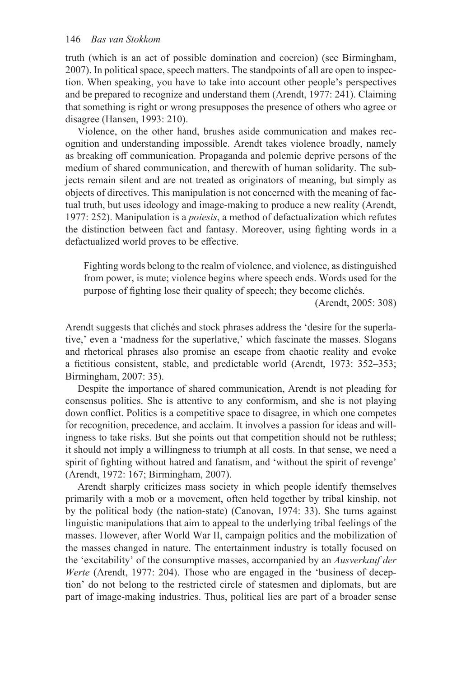#### 146 *Bas van Stokkom*

truth (which is an act of possible domination and coercion) (see Birmingham, 2007). In political space, speech matters. The standpoints of all are open to inspection. When speaking, you have to take into account other people's perspectives and be prepared to recognize and understand them (Arendt, 1977: 241). Claiming that something is right or wrong presupposes the presence of others who agree or disagree (Hansen, 1993: 210).

Violence, on the other hand, brushes aside communication and makes recognition and understanding impossible. Arendt takes violence broadly, namely as breaking off communication. Propaganda and polemic deprive persons of the medium of shared communication, and therewith of human solidarity. The subjects remain silent and are not treated as originators of meaning, but simply as objects of directives. This manipulation is not concerned with the meaning of factual truth, but uses ideology and image-making to produce a new reality (Arendt, 1977: 252). Manipulation is a *poiesis*, a method of defactualization which refutes the distinction between fact and fantasy. Moreover, using fighting words in a defactualized world proves to be effective.

Fighting words belong to the realm of violence, and violence, as distinguished from power, is mute; violence begins where speech ends. Words used for the purpose of fighting lose their quality of speech; they become clichés.

(Arendt, 2005: 308)

Arendt suggests that clichés and stock phrases address the 'desire for the superlative,' even a 'madness for the superlative,' which fascinate the masses. Slogans and rhetorical phrases also promise an escape from chaotic reality and evoke a fictitious consistent, stable, and predictable world (Arendt, 1973: 352–353; Birmingham, 2007: 35).

Despite the importance of shared communication, Arendt is not pleading for consensus politics. She is attentive to any conformism, and she is not playing down conflict. Politics is a competitive space to disagree, in which one competes for recognition, precedence, and acclaim. It involves a passion for ideas and willingness to take risks. But she points out that competition should not be ruthless; it should not imply a willingness to triumph at all costs. In that sense, we need a spirit of fighting without hatred and fanatism, and 'without the spirit of revenge' (Arendt, 1972: 167; Birmingham, 2007).

Arendt sharply criticizes mass society in which people identify themselves primarily with a mob or a movement, often held together by tribal kinship, not by the political body (the nation-state) (Canovan, 1974: 33). She turns against linguistic manipulations that aim to appeal to the underlying tribal feelings of the masses. However, after World War II, campaign politics and the mobilization of the masses changed in nature. The entertainment industry is totally focused on the 'excitability' of the consumptive masses, accompanied by an *Ausverkauf der Werte* (Arendt, 1977: 204). Those who are engaged in the 'business of deception' do not belong to the restricted circle of statesmen and diplomats, but are part of image-making industries. Thus, political lies are part of a broader sense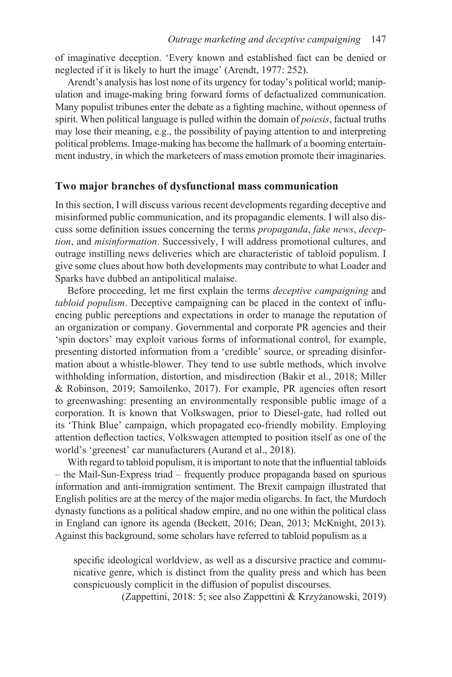of imaginative deception. 'Every known and established fact can be denied or neglected if it is likely to hurt the image' (Arendt, 1977: 252).

Arendt's analysis has lost none of its urgency for today's political world; manipulation and image-making bring forward forms of defactualized communication. Many populist tribunes enter the debate as a fighting machine, without openness of spirit. When political language is pulled within the domain of *poiesis*, factual truths may lose their meaning, e.g., the possibility of paying attention to and interpreting political problems. Image-making has become the hallmark of a booming entertainment industry, in which the marketeers of mass emotion promote their imaginaries.

#### **Two major branches of dysfunctional mass communication**

In this section, I will discuss various recent developments regarding deceptive and misinformed public communication, and its propagandic elements. I will also discuss some definition issues concerning the terms *propaganda*, *fake news*, *deception*, and *misinformation*. Successively, I will address promotional cultures, and outrage instilling news deliveries which are characteristic of tabloid populism. I give some clues about how both developments may contribute to what Loader and Sparks have dubbed an antipolitical malaise.

Before proceeding, let me first explain the terms *deceptive campaigning* and *tabloid populism*. Deceptive campaigning can be placed in the context of influencing public perceptions and expectations in order to manage the reputation of an organization or company. Governmental and corporate PR agencies and their 'spin doctors' may exploit various forms of informational control, for example, presenting distorted information from a 'credible' source, or spreading disinformation about a whistle-blower. They tend to use subtle methods, which involve withholding information, distortion, and misdirection (Bakir et al., 2018; Miller & Robinson, 2019; Samoilenko, 2017). For example, PR agencies often resort to greenwashing: presenting an environmentally responsible public image of a corporation. It is known that Volkswagen, prior to Diesel-gate, had rolled out its 'Think Blue' campaign, which propagated eco-friendly mobility. Employing attention deflection tactics, Volkswagen attempted to position itself as one of the world's 'greenest' car manufacturers (Aurand et al., 2018).

With regard to tabloid populism, it is important to note that the influential tabloids – the Mail-Sun-Express triad – frequently produce propaganda based on spurious information and anti-immigration sentiment. The Brexit campaign illustrated that English politics are at the mercy of the major media oligarchs. In fact, the Murdoch dynasty functions as a political shadow empire, and no one within the political class in England can ignore its agenda (Beckett, 2016; Dean, 2013; McKnight, 2013). Against this background, some scholars have referred to tabloid populism as a

specific ideological worldview, as well as a discursive practice and communicative genre, which is distinct from the quality press and which has been conspicuously complicit in the diffusion of populist discourses.

(Zappettini, 2018: 5; see also Zappettini & Krzyżanowski, 2019)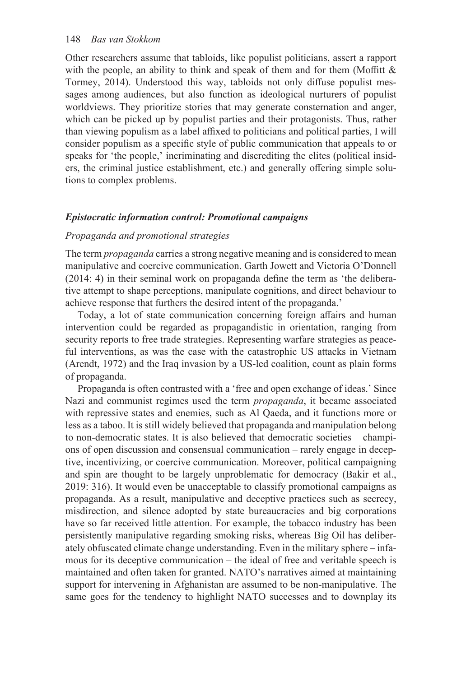Other researchers assume that tabloids, like populist politicians, assert a rapport with the people, an ability to think and speak of them and for them (Moffitt  $\&$ Tormey, 2014). Understood this way, tabloids not only diffuse populist messages among audiences, but also function as ideological nurturers of populist worldviews. They prioritize stories that may generate consternation and anger, which can be picked up by populist parties and their protagonists. Thus, rather than viewing populism as a label affixed to politicians and political parties, I will consider populism as a specific style of public communication that appeals to or speaks for 'the people,' incriminating and discrediting the elites (political insiders, the criminal justice establishment, etc.) and generally offering simple solutions to complex problems.

#### *Epistocratic information control: Promotional campaigns*

#### *Propaganda and promotional strategies*

The term *propaganda* carries a strong negative meaning and is considered to mean manipulative and coercive communication. Garth Jowett and Victoria O'Donnell (2014: 4) in their seminal work on propaganda define the term as 'the deliberative attempt to shape perceptions, manipulate cognitions, and direct behaviour to achieve response that furthers the desired intent of the propaganda.'

Today, a lot of state communication concerning foreign affairs and human intervention could be regarded as propagandistic in orientation, ranging from security reports to free trade strategies. Representing warfare strategies as peaceful interventions, as was the case with the catastrophic US attacks in Vietnam (Arendt, 1972) and the Iraq invasion by a US-led coalition, count as plain forms of propaganda.

Propaganda is often contrasted with a 'free and open exchange of ideas.' Since Nazi and communist regimes used the term *propaganda*, it became associated with repressive states and enemies, such as Al Qaeda, and it functions more or less as a taboo. It is still widely believed that propaganda and manipulation belong to non-democratic states. It is also believed that democratic societies – champions of open discussion and consensual communication – rarely engage in deceptive, incentivizing, or coercive communication. Moreover, political campaigning and spin are thought to be largely unproblematic for democracy (Bakir et al., 2019: 316). It would even be unacceptable to classify promotional campaigns as propaganda. As a result, manipulative and deceptive practices such as secrecy, misdirection, and silence adopted by state bureaucracies and big corporations have so far received little attention. For example, the tobacco industry has been persistently manipulative regarding smoking risks, whereas Big Oil has deliberately obfuscated climate change understanding. Even in the military sphere – infamous for its deceptive communication – the ideal of free and veritable speech is maintained and often taken for granted. NATO's narratives aimed at maintaining support for intervening in Afghanistan are assumed to be non-manipulative. The same goes for the tendency to highlight NATO successes and to downplay its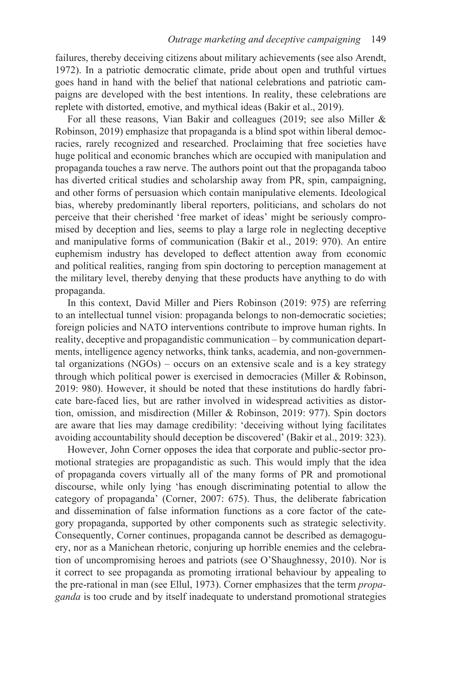failures, thereby deceiving citizens about military achievements (see also Arendt, 1972). In a patriotic democratic climate, pride about open and truthful virtues goes hand in hand with the belief that national celebrations and patriotic campaigns are developed with the best intentions. In reality, these celebrations are replete with distorted, emotive, and mythical ideas (Bakir et al., 2019).

For all these reasons, Vian Bakir and colleagues (2019; see also Miller & Robinson, 2019) emphasize that propaganda is a blind spot within liberal democracies, rarely recognized and researched. Proclaiming that free societies have huge political and economic branches which are occupied with manipulation and propaganda touches a raw nerve. The authors point out that the propaganda taboo has diverted critical studies and scholarship away from PR, spin, campaigning, and other forms of persuasion which contain manipulative elements. Ideological bias, whereby predominantly liberal reporters, politicians, and scholars do not perceive that their cherished 'free market of ideas' might be seriously compromised by deception and lies, seems to play a large role in neglecting deceptive and manipulative forms of communication (Bakir et al., 2019: 970). An entire euphemism industry has developed to deflect attention away from economic and political realities, ranging from spin doctoring to perception management at the military level, thereby denying that these products have anything to do with propaganda.

In this context, David Miller and Piers Robinson (2019: 975) are referring to an intellectual tunnel vision: propaganda belongs to non-democratic societies; foreign policies and NATO interventions contribute to improve human rights. In reality, deceptive and propagandistic communication – by communication departments, intelligence agency networks, think tanks, academia, and non-governmental organizations (NGOs) – occurs on an extensive scale and is a key strategy through which political power is exercised in democracies (Miller & Robinson, 2019: 980). However, it should be noted that these institutions do hardly fabricate bare-faced lies, but are rather involved in widespread activities as distortion, omission, and misdirection (Miller & Robinson, 2019: 977). Spin doctors are aware that lies may damage credibility: 'deceiving without lying facilitates avoiding accountability should deception be discovered' (Bakir et al., 2019: 323).

However, John Corner opposes the idea that corporate and public-sector promotional strategies are propagandistic as such. This would imply that the idea of propaganda covers virtually all of the many forms of PR and promotional discourse, while only lying 'has enough discriminating potential to allow the category of propaganda' (Corner, 2007: 675). Thus, the deliberate fabrication and dissemination of false information functions as a core factor of the category propaganda, supported by other components such as strategic selectivity. Consequently, Corner continues, propaganda cannot be described as demagoguery, nor as a Manichean rhetoric, conjuring up horrible enemies and the celebration of uncompromising heroes and patriots (see O'Shaughnessy, 2010). Nor is it correct to see propaganda as promoting irrational behaviour by appealing to the pre-rational in man (see Ellul, 1973). Corner emphasizes that the term *propaganda* is too crude and by itself inadequate to understand promotional strategies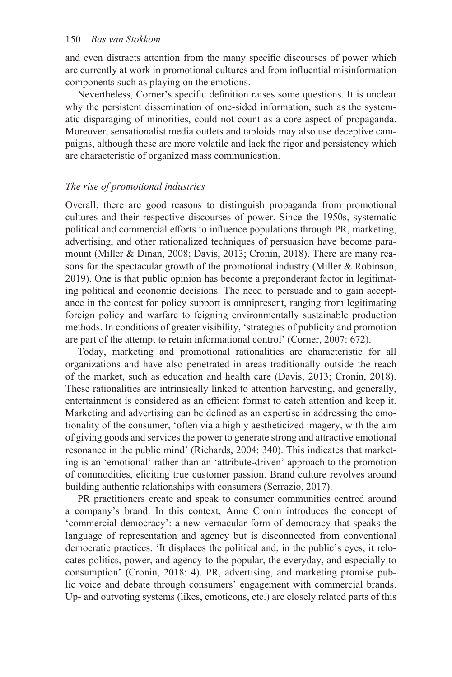and even distracts attention from the many specific discourses of power which are currently at work in promotional cultures and from influential misinformation components such as playing on the emotions.

Nevertheless, Corner's specific definition raises some questions. It is unclear why the persistent dissemination of one-sided information, such as the systematic disparaging of minorities, could not count as a core aspect of propaganda. Moreover, sensationalist media outlets and tabloids may also use deceptive campaigns, although these are more volatile and lack the rigor and persistency which are characteristic of organized mass communication.

# *The rise of promotional industries*

Overall, there are good reasons to distinguish propaganda from promotional cultures and their respective discourses of power. Since the 1950s, systematic political and commercial efforts to influence populations through PR, marketing, advertising, and other rationalized techniques of persuasion have become paramount (Miller & Dinan, 2008; Davis, 2013; Cronin, 2018). There are many reasons for the spectacular growth of the promotional industry (Miller & Robinson, 2019). One is that public opinion has become a preponderant factor in legitimating political and economic decisions. The need to persuade and to gain acceptance in the contest for policy support is omnipresent, ranging from legitimating foreign policy and warfare to feigning environmentally sustainable production methods. In conditions of greater visibility, 'strategies of publicity and promotion are part of the attempt to retain informational control' (Corner, 2007: 672).

Today, marketing and promotional rationalities are characteristic for all organizations and have also penetrated in areas traditionally outside the reach of the market, such as education and health care (Davis, 2013; Cronin, 2018). These rationalities are intrinsically linked to attention harvesting, and generally, entertainment is considered as an efficient format to catch attention and keep it. Marketing and advertising can be defined as an expertise in addressing the emotionality of the consumer, 'often via a highly aestheticized imagery, with the aim of giving goods and services the power to generate strong and attractive emotional resonance in the public mind' (Richards, 2004: 340). This indicates that marketing is an 'emotional' rather than an 'attribute-driven' approach to the promotion of commodities, eliciting true customer passion. Brand culture revolves around building authentic relationships with consumers (Serrazio, 2017).

PR practitioners create and speak to consumer communities centred around a company's brand. In this context, Anne Cronin introduces the concept of 'commercial democracy': a new vernacular form of democracy that speaks the language of representation and agency but is disconnected from conventional democratic practices. 'It displaces the political and, in the public's eyes, it relocates politics, power, and agency to the popular, the everyday, and especially to consumption' (Cronin, 2018: 4). PR, advertising, and marketing promise public voice and debate through consumers' engagement with commercial brands. Up- and outvoting systems (likes, emoticons, etc.) are closely related parts of this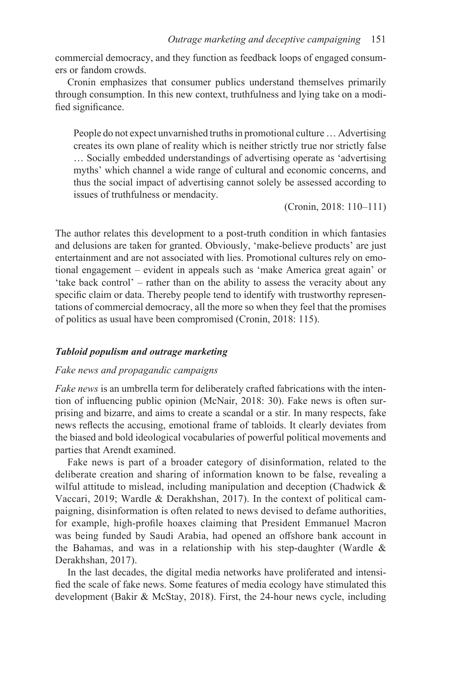commercial democracy, and they function as feedback loops of engaged consumers or fandom crowds.

Cronin emphasizes that consumer publics understand themselves primarily through consumption. In this new context, truthfulness and lying take on a modified significance.

People do not expect unvarnished truths in promotional culture … Advertising creates its own plane of reality which is neither strictly true nor strictly false … Socially embedded understandings of advertising operate as 'advertising myths' which channel a wide range of cultural and economic concerns, and thus the social impact of advertising cannot solely be assessed according to issues of truthfulness or mendacity.

(Cronin, 2018: 110–111)

The author relates this development to a post-truth condition in which fantasies and delusions are taken for granted. Obviously, 'make-believe products' are just entertainment and are not associated with lies. Promotional cultures rely on emotional engagement – evident in appeals such as 'make America great again' or 'take back control' – rather than on the ability to assess the veracity about any specific claim or data. Thereby people tend to identify with trustworthy representations of commercial democracy, all the more so when they feel that the promises of politics as usual have been compromised (Cronin, 2018: 115).

#### *Tabloid populism and outrage marketing*

#### *Fake news and propagandic campaigns*

*Fake news* is an umbrella term for deliberately crafted fabrications with the intention of influencing public opinion (McNair, 2018: 30). Fake news is often surprising and bizarre, and aims to create a scandal or a stir. In many respects, fake news reflects the accusing, emotional frame of tabloids. It clearly deviates from the biased and bold ideological vocabularies of powerful political movements and parties that Arendt examined.

Fake news is part of a broader category of disinformation, related to the deliberate creation and sharing of information known to be false, revealing a wilful attitude to mislead, including manipulation and deception (Chadwick & Vaccari, 2019; Wardle & Derakhshan, 2017). In the context of political campaigning, disinformation is often related to news devised to defame authorities, for example, high-profile hoaxes claiming that President Emmanuel Macron was being funded by Saudi Arabia, had opened an offshore bank account in the Bahamas, and was in a relationship with his step-daughter (Wardle  $\&$ Derakhshan, 2017).

In the last decades, the digital media networks have proliferated and intensified the scale of fake news. Some features of media ecology have stimulated this development (Bakir & McStay, 2018). First, the 24-hour news cycle, including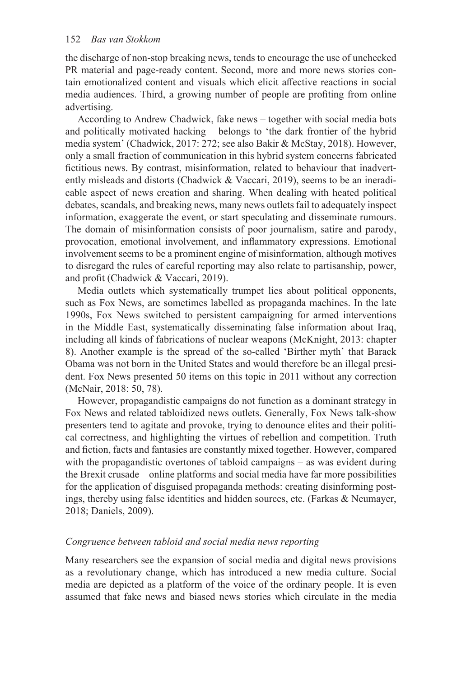the discharge of non-stop breaking news, tends to encourage the use of unchecked PR material and page-ready content. Second, more and more news stories contain emotionalized content and visuals which elicit affective reactions in social media audiences. Third, a growing number of people are profiting from online advertising.

According to Andrew Chadwick, fake news – together with social media bots and politically motivated hacking – belongs to 'the dark frontier of the hybrid media system' (Chadwick, 2017: 272; see also Bakir & McStay, 2018). However, only a small fraction of communication in this hybrid system concerns fabricated fictitious news. By contrast, misinformation, related to behaviour that inadvertently misleads and distorts (Chadwick & Vaccari, 2019), seems to be an ineradicable aspect of news creation and sharing. When dealing with heated political debates, scandals, and breaking news, many news outlets fail to adequately inspect information, exaggerate the event, or start speculating and disseminate rumours. The domain of misinformation consists of poor journalism, satire and parody, provocation, emotional involvement, and inflammatory expressions. Emotional involvement seems to be a prominent engine of misinformation, although motives to disregard the rules of careful reporting may also relate to partisanship, power, and profit (Chadwick & Vaccari, 2019).

Media outlets which systematically trumpet lies about political opponents, such as Fox News, are sometimes labelled as propaganda machines. In the late 1990s, Fox News switched to persistent campaigning for armed interventions in the Middle East, systematically disseminating false information about Iraq, including all kinds of fabrications of nuclear weapons (McKnight, 2013: chapter 8). Another example is the spread of the so-called 'Birther myth' that Barack Obama was not born in the United States and would therefore be an illegal president. Fox News presented 50 items on this topic in 2011 without any correction (McNair, 2018: 50, 78).

However, propagandistic campaigns do not function as a dominant strategy in Fox News and related tabloidized news outlets. Generally, Fox News talk-show presenters tend to agitate and provoke, trying to denounce elites and their political correctness, and highlighting the virtues of rebellion and competition. Truth and fiction, facts and fantasies are constantly mixed together. However, compared with the propagandistic overtones of tabloid campaigns – as was evident during the Brexit crusade – online platforms and social media have far more possibilities for the application of disguised propaganda methods: creating disinforming postings, thereby using false identities and hidden sources, etc. (Farkas & Neumayer, 2018; Daniels, 2009).

# *Congruence between tabloid and social media news reporting*

Many researchers see the expansion of social media and digital news provisions as a revolutionary change, which has introduced a new media culture. Social media are depicted as a platform of the voice of the ordinary people. It is even assumed that fake news and biased news stories which circulate in the media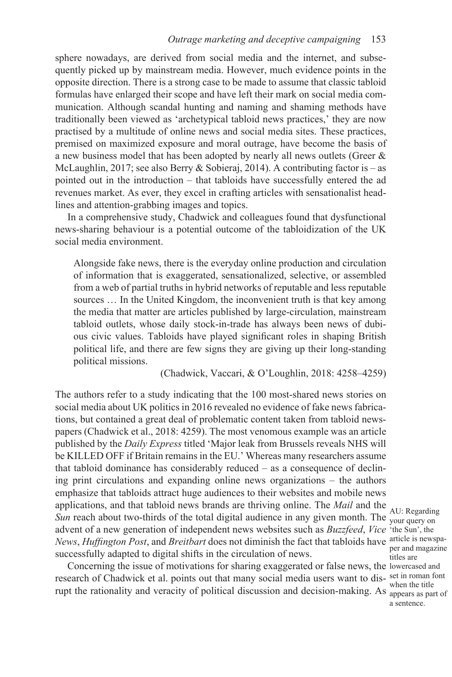sphere nowadays, are derived from social media and the internet, and subsequently picked up by mainstream media. However, much evidence points in the opposite direction. There is a strong case to be made to assume that classic tabloid formulas have enlarged their scope and have left their mark on social media communication. Although scandal hunting and naming and shaming methods have traditionally been viewed as 'archetypical tabloid news practices,' they are now practised by a multitude of online news and social media sites. These practices, premised on maximized exposure and moral outrage, have become the basis of a new business model that has been adopted by nearly all news outlets (Greer & McLaughlin, 2017; see also Berry & Sobieraj, 2014). A contributing factor is – as pointed out in the introduction – that tabloids have successfully entered the ad revenues market. As ever, they excel in crafting articles with sensationalist headlines and attention-grabbing images and topics.

In a comprehensive study, Chadwick and colleagues found that dysfunctional news-sharing behaviour is a potential outcome of the tabloidization of the UK social media environment.

Alongside fake news, there is the everyday online production and circulation of information that is exaggerated, sensationalized, selective, or assembled from a web of partial truths in hybrid networks of reputable and less reputable sources … In the United Kingdom, the inconvenient truth is that key among the media that matter are articles published by large-circulation, mainstream tabloid outlets, whose daily stock-in-trade has always been news of dubious civic values. Tabloids have played significant roles in shaping British political life, and there are few signs they are giving up their long-standing political missions.

(Chadwick, Vaccari, & O'Loughlin, 2018: 4258–4259)

The authors refer to a study indicating that the 100 most-shared news stories on social media about UK politics in 2016 revealed no evidence of fake news fabrications, but contained a great deal of problematic content taken from tabloid newspapers (Chadwick et al., 2018: 4259). The most venomous example was an article published by the *Daily Express* titled 'Major leak from Brussels reveals NHS will be KILLED OFF if Britain remains in the EU.' Whereas many researchers assume that tabloid dominance has considerably reduced – as a consequence of declining print circulations and expanding online news organizations – the authors emphasize that tabloids attract huge audiences to their websites and mobile news applications, and that tabloid news brands are thriving online. The *Mail* and the *Sun* reach about two-thirds of the total digital audience in any given month. The <sub>vour query on</sub> *AU*: Regarding advent of a new generation of independent news websites such as *Buzzfeed*, *Vice*  'the Sun', the *News, Huffington Post,* and *Breitbart* does not diminish the fact that tabloids have article is newspasuccessfully adapted to digital shifts in the circulation of news.

Concerning the issue of motivations for sharing exaggerated or false news, the lowercased and research of Chadwick et al. points out that many social media users want to dis-set in roman font rupt the rationality and veracity of political discussion and decision-making. As  $\frac{m_{\text{en}}}{\text{appears}}$  as part of

your query on per and magazine titles are when the title a sentence.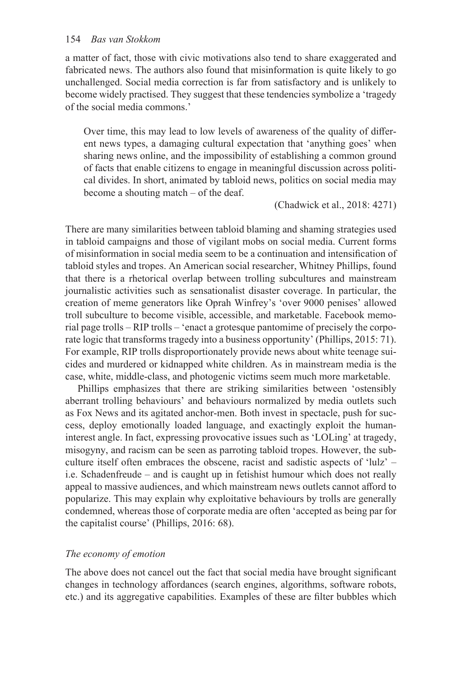#### 154 *Bas van Stokkom*

a matter of fact, those with civic motivations also tend to share exaggerated and fabricated news. The authors also found that misinformation is quite likely to go unchallenged. Social media correction is far from satisfactory and is unlikely to become widely practised. They suggest that these tendencies symbolize a 'tragedy of the social media commons.'

Over time, this may lead to low levels of awareness of the quality of different news types, a damaging cultural expectation that 'anything goes' when sharing news online, and the impossibility of establishing a common ground of facts that enable citizens to engage in meaningful discussion across political divides. In short, animated by tabloid news, politics on social media may become a shouting match – of the deaf.

(Chadwick et al., 2018: 4271)

There are many similarities between tabloid blaming and shaming strategies used in tabloid campaigns and those of vigilant mobs on social media. Current forms of misinformation in social media seem to be a continuation and intensification of tabloid styles and tropes. An American social researcher, Whitney Phillips, found that there is a rhetorical overlap between trolling subcultures and mainstream journalistic activities such as sensationalist disaster coverage. In particular, the creation of meme generators like Oprah Winfrey's 'over 9000 penises' allowed troll subculture to become visible, accessible, and marketable. Facebook memorial page trolls – RIP trolls – 'enact a grotesque pantomime of precisely the corporate logic that transforms tragedy into a business opportunity' (Phillips, 2015: 71). For example, RIP trolls disproportionately provide news about white teenage suicides and murdered or kidnapped white children. As in mainstream media is the case, white, middle-class, and photogenic victims seem much more marketable.

Phillips emphasizes that there are striking similarities between 'ostensibly aberrant trolling behaviours' and behaviours normalized by media outlets such as Fox News and its agitated anchor-men. Both invest in spectacle, push for success, deploy emotionally loaded language, and exactingly exploit the humaninterest angle. In fact, expressing provocative issues such as 'LOLing' at tragedy, misogyny, and racism can be seen as parroting tabloid tropes. However, the subculture itself often embraces the obscene, racist and sadistic aspects of 'lulz' – i.e. Schadenfreude – and is caught up in fetishist humour which does not really appeal to massive audiences, and which mainstream news outlets cannot afford to popularize. This may explain why exploitative behaviours by trolls are generally condemned, whereas those of corporate media are often 'accepted as being par for the capitalist course' (Phillips, 2016: 68).

#### *The economy of emotion*

The above does not cancel out the fact that social media have brought significant changes in technology affordances (search engines, algorithms, software robots, etc.) and its aggregative capabilities. Examples of these are filter bubbles which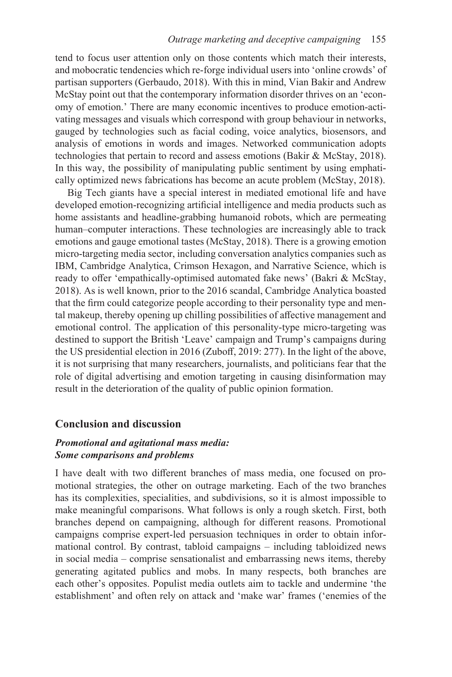tend to focus user attention only on those contents which match their interests, and mobocratic tendencies which re-forge individual users into 'online crowds' of partisan supporters (Gerbaudo, 2018). With this in mind, Vian Bakir and Andrew McStay point out that the contemporary information disorder thrives on an 'economy of emotion.' There are many economic incentives to produce emotion-activating messages and visuals which correspond with group behaviour in networks, gauged by technologies such as facial coding, voice analytics, biosensors, and analysis of emotions in words and images. Networked communication adopts technologies that pertain to record and assess emotions (Bakir & McStay, 2018). In this way, the possibility of manipulating public sentiment by using emphatically optimized news fabrications has become an acute problem (McStay, 2018).

Big Tech giants have a special interest in mediated emotional life and have developed emotion-recognizing artificial intelligence and media products such as home assistants and headline-grabbing humanoid robots, which are permeating human–computer interactions. These technologies are increasingly able to track emotions and gauge emotional tastes (McStay, 2018). There is a growing emotion micro-targeting media sector, including conversation analytics companies such as IBM, Cambridge Analytica, Crimson Hexagon, and Narrative Science, which is ready to offer 'empathically-optimised automated fake news' (Bakri & McStay, 2018). As is well known, prior to the 2016 scandal, Cambridge Analytica boasted that the firm could categorize people according to their personality type and mental makeup, thereby opening up chilling possibilities of affective management and emotional control. The application of this personality-type micro-targeting was destined to support the British 'Leave' campaign and Trump's campaigns during the US presidential election in 2016 (Zuboff, 2019: 277). In the light of the above, it is not surprising that many researchers, journalists, and politicians fear that the role of digital advertising and emotion targeting in causing disinformation may result in the deterioration of the quality of public opinion formation.

# **Conclusion and discussion**

# *Promotional and agitational mass media: Some comparisons and problems*

I have dealt with two different branches of mass media, one focused on promotional strategies, the other on outrage marketing. Each of the two branches has its complexities, specialities, and subdivisions, so it is almost impossible to make meaningful comparisons. What follows is only a rough sketch. First, both branches depend on campaigning, although for different reasons. Promotional campaigns comprise expert-led persuasion techniques in order to obtain informational control. By contrast, tabloid campaigns – including tabloidized news in social media – comprise sensationalist and embarrassing news items, thereby generating agitated publics and mobs. In many respects, both branches are each other's opposites. Populist media outlets aim to tackle and undermine 'the establishment' and often rely on attack and 'make war' frames ('enemies of the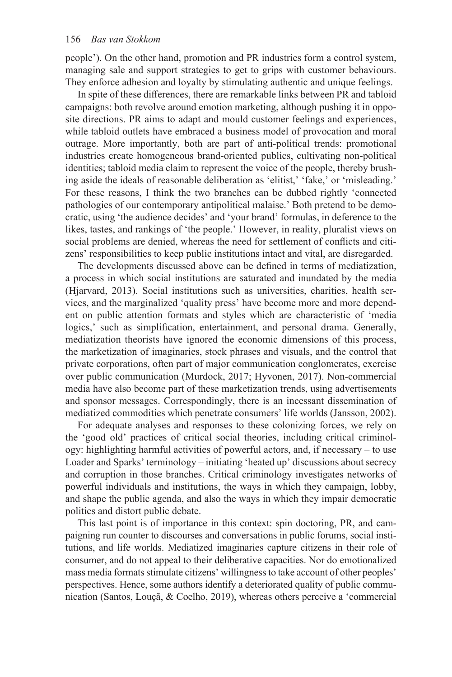people'). On the other hand, promotion and PR industries form a control system, managing sale and support strategies to get to grips with customer behaviours. They enforce adhesion and loyalty by stimulating authentic and unique feelings.

In spite of these differences, there are remarkable links between PR and tabloid campaigns: both revolve around emotion marketing, although pushing it in opposite directions. PR aims to adapt and mould customer feelings and experiences, while tabloid outlets have embraced a business model of provocation and moral outrage. More importantly, both are part of anti-political trends: promotional industries create homogeneous brand-oriented publics, cultivating non-political identities; tabloid media claim to represent the voice of the people, thereby brushing aside the ideals of reasonable deliberation as 'elitist,' 'fake,' or 'misleading.' For these reasons, I think the two branches can be dubbed rightly 'connected pathologies of our contemporary antipolitical malaise.' Both pretend to be democratic, using 'the audience decides' and 'your brand' formulas, in deference to the likes, tastes, and rankings of 'the people.' However, in reality, pluralist views on social problems are denied, whereas the need for settlement of conflicts and citizens' responsibilities to keep public institutions intact and vital, are disregarded.

The developments discussed above can be defined in terms of mediatization, a process in which social institutions are saturated and inundated by the media (Hjarvard, 2013). Social institutions such as universities, charities, health services, and the marginalized 'quality press' have become more and more dependent on public attention formats and styles which are characteristic of 'media logics,' such as simplification, entertainment, and personal drama. Generally, mediatization theorists have ignored the economic dimensions of this process, the marketization of imaginaries, stock phrases and visuals, and the control that private corporations, often part of major communication conglomerates, exercise over public communication (Murdock, 2017; Hyvonen, 2017). Non-commercial media have also become part of these marketization trends, using advertisements and sponsor messages. Correspondingly, there is an incessant dissemination of mediatized commodities which penetrate consumers' life worlds (Jansson, 2002).

For adequate analyses and responses to these colonizing forces, we rely on the 'good old' practices of critical social theories, including critical criminology: highlighting harmful activities of powerful actors, and, if necessary – to use Loader and Sparks' terminology – initiating 'heated up' discussions about secrecy and corruption in those branches. Critical criminology investigates networks of powerful individuals and institutions, the ways in which they campaign, lobby, and shape the public agenda, and also the ways in which they impair democratic politics and distort public debate.

This last point is of importance in this context: spin doctoring, PR, and campaigning run counter to discourses and conversations in public forums, social institutions, and life worlds. Mediatized imaginaries capture citizens in their role of consumer, and do not appeal to their deliberative capacities. Nor do emotionalized mass media formats stimulate citizens' willingness to take account of other peoples' perspectives. Hence, some authors identify a deteriorated quality of public communication (Santos, Louçã, & Coelho, 2019), whereas others perceive a 'commercial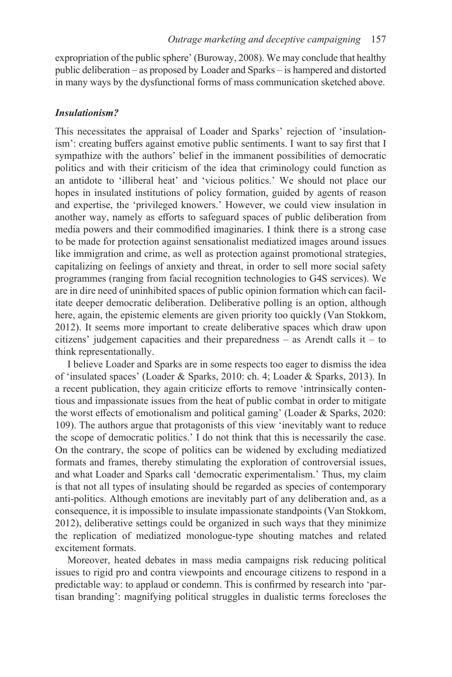expropriation of the public sphere' (Buroway, 2008). We may conclude that healthy public deliberation – as proposed by Loader and Sparks – is hampered and distorted in many ways by the dysfunctional forms of mass communication sketched above.

#### *Insulationism?*

This necessitates the appraisal of Loader and Sparks' rejection of 'insulationism': creating buffers against emotive public sentiments. I want to say first that I sympathize with the authors' belief in the immanent possibilities of democratic politics and with their criticism of the idea that criminology could function as an antidote to 'illiberal heat' and 'vicious politics.' We should not place our hopes in insulated institutions of policy formation, guided by agents of reason and expertise, the 'privileged knowers.' However, we could view insulation in another way, namely as efforts to safeguard spaces of public deliberation from media powers and their commodified imaginaries. I think there is a strong case to be made for protection against sensationalist mediatized images around issues like immigration and crime, as well as protection against promotional strategies, capitalizing on feelings of anxiety and threat, in order to sell more social safety programmes (ranging from facial recognition technologies to G4S services). We are in dire need of uninhibited spaces of public opinion formation which can facilitate deeper democratic deliberation. Deliberative polling is an option, although here, again, the epistemic elements are given priority too quickly (Van Stokkom, 2012). It seems more important to create deliberative spaces which draw upon citizens' judgement capacities and their preparedness – as Arendt calls it – to think representationally.

I believe Loader and Sparks are in some respects too eager to dismiss the idea of 'insulated spaces' (Loader & Sparks, 2010: ch. 4; Loader & Sparks, 2013). In a recent publication, they again criticize efforts to remove 'intrinsically contentious and impassionate issues from the heat of public combat in order to mitigate the worst effects of emotionalism and political gaming' (Loader & Sparks, 2020: 109). The authors argue that protagonists of this view 'inevitably want to reduce the scope of democratic politics.' I do not think that this is necessarily the case. On the contrary, the scope of politics can be widened by excluding mediatized formats and frames, thereby stimulating the exploration of controversial issues, and what Loader and Sparks call 'democratic experimentalism.' Thus, my claim is that not all types of insulating should be regarded as species of contemporary anti-politics. Although emotions are inevitably part of any deliberation and, as a consequence, it is impossible to insulate impassionate standpoints (Van Stokkom, 2012), deliberative settings could be organized in such ways that they minimize the replication of mediatized monologue-type shouting matches and related excitement formats.

Moreover, heated debates in mass media campaigns risk reducing political issues to rigid pro and contra viewpoints and encourage citizens to respond in a predictable way: to applaud or condemn. This is confirmed by research into 'partisan branding': magnifying political struggles in dualistic terms forecloses the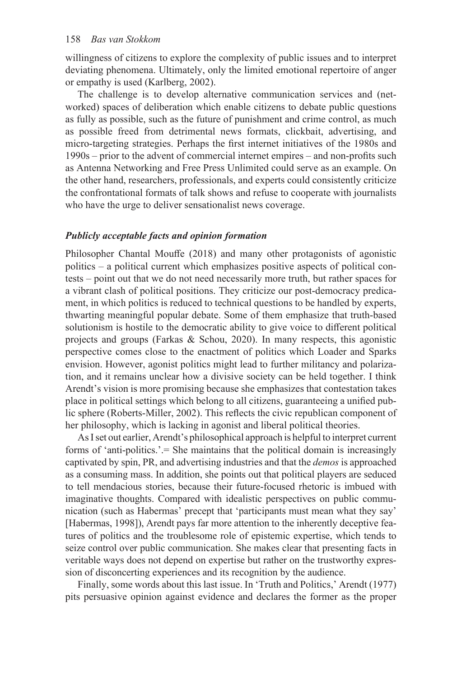willingness of citizens to explore the complexity of public issues and to interpret deviating phenomena. Ultimately, only the limited emotional repertoire of anger or empathy is used (Karlberg, 2002).

The challenge is to develop alternative communication services and (networked) spaces of deliberation which enable citizens to debate public questions as fully as possible, such as the future of punishment and crime control, as much as possible freed from detrimental news formats, clickbait, advertising, and micro-targeting strategies. Perhaps the first internet initiatives of the 1980s and 1990s – prior to the advent of commercial internet empires – and non-profits such as Antenna Networking and Free Press Unlimited could serve as an example. On the other hand, researchers, professionals, and experts could consistently criticize the confrontational formats of talk shows and refuse to cooperate with journalists who have the urge to deliver sensationalist news coverage.

#### *Publicly acceptable facts and opinion formation*

Philosopher Chantal Mouffe (2018) and many other protagonists of agonistic politics – a political current which emphasizes positive aspects of political contests – point out that we do not need necessarily more truth, but rather spaces for a vibrant clash of political positions. They criticize our post-democracy predicament, in which politics is reduced to technical questions to be handled by experts, thwarting meaningful popular debate. Some of them emphasize that truth-based solutionism is hostile to the democratic ability to give voice to different political projects and groups (Farkas & Schou, 2020). In many respects, this agonistic perspective comes close to the enactment of politics which Loader and Sparks envision. However, agonist politics might lead to further militancy and polarization, and it remains unclear how a divisive society can be held together. I think Arendt's vision is more promising because she emphasizes that contestation takes place in political settings which belong to all citizens, guaranteeing a unified public sphere (Roberts-Miller, 2002). This reflects the civic republican component of her philosophy, which is lacking in agonist and liberal political theories.

As I set out earlier, Arendt's philosophical approach is helpful to interpret current forms of 'anti-politics.'.= She maintains that the political domain is increasingly captivated by spin, PR, and advertising industries and that the *demos* is approached as a consuming mass. In addition, she points out that political players are seduced to tell mendacious stories, because their future-focused rhetoric is imbued with imaginative thoughts. Compared with idealistic perspectives on public communication (such as Habermas' precept that 'participants must mean what they say' [Habermas, 1998]), Arendt pays far more attention to the inherently deceptive features of politics and the troublesome role of epistemic expertise, which tends to seize control over public communication. She makes clear that presenting facts in veritable ways does not depend on expertise but rather on the trustworthy expression of disconcerting experiences and its recognition by the audience.

Finally, some words about this last issue. In 'Truth and Politics,' Arendt (1977) pits persuasive opinion against evidence and declares the former as the proper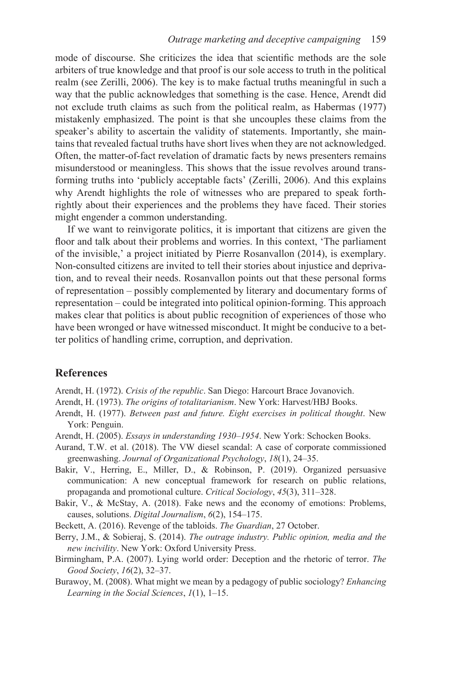mode of discourse. She criticizes the idea that scientific methods are the sole arbiters of true knowledge and that proof is our sole access to truth in the political realm (see Zerilli, 2006). The key is to make factual truths meaningful in such a way that the public acknowledges that something is the case. Hence, Arendt did not exclude truth claims as such from the political realm, as Habermas (1977) mistakenly emphasized. The point is that she uncouples these claims from the speaker's ability to ascertain the validity of statements. Importantly, she maintains that revealed factual truths have short lives when they are not acknowledged. Often, the matter-of-fact revelation of dramatic facts by news presenters remains misunderstood or meaningless. This shows that the issue revolves around transforming truths into 'publicly acceptable facts' (Zerilli, 2006). And this explains why Arendt highlights the role of witnesses who are prepared to speak forthrightly about their experiences and the problems they have faced. Their stories might engender a common understanding.

If we want to reinvigorate politics, it is important that citizens are given the floor and talk about their problems and worries. In this context, 'The parliament of the invisible,' a project initiated by Pierre Rosanvallon (2014), is exemplary. Non-consulted citizens are invited to tell their stories about injustice and deprivation, and to reveal their needs. Rosanvallon points out that these personal forms of representation – possibly complemented by literary and documentary forms of representation – could be integrated into political opinion-forming. This approach makes clear that politics is about public recognition of experiences of those who have been wronged or have witnessed misconduct. It might be conducive to a better politics of handling crime, corruption, and deprivation.

#### **References**

Arendt, H. (1972). *Crisis of the republic*. San Diego: Harcourt Brace Jovanovich.

- Arendt, H. (1973). *The origins of totalitarianism*. New York: Harvest/HBJ Books.
- Arendt, H. (1977). *Between past and future. Eight exercises in political thought*. New York: Penguin.
- Arendt, H. (2005). *Essays in understanding 1930–1954*. New York: Schocken Books.
- Aurand, T.W. et al. (2018). The VW diesel scandal: A case of corporate commissioned greenwashing. *Journal of Organizational Psychology*, *18*(1), 24–35.
- Bakir, V., Herring, E., Miller, D., & Robinson, P. (2019). Organized persuasive communication: A new conceptual framework for research on public relations, propaganda and promotional culture. *Critical Sociology*, *45*(3), 311–328.
- Bakir, V., & McStay, A. (2018). Fake news and the economy of emotions: Problems, causes, solutions. *Digital Journalism*, *6*(2), 154–175.
- Beckett, A. (2016). Revenge of the tabloids. *The Guardian*, 27 October.
- Berry, J.M., & Sobieraj, S. (2014). *The outrage industry. Public opinion, media and the new incivility*. New York: Oxford University Press.
- Birmingham, P.A. (2007). Lying world order: Deception and the rhetoric of terror. *The Good Society*, *16*(2), 32–37.
- Burawoy, M. (2008). What might we mean by a pedagogy of public sociology? *Enhancing Learning in the Social Sciences*, *1*(1), 1–15.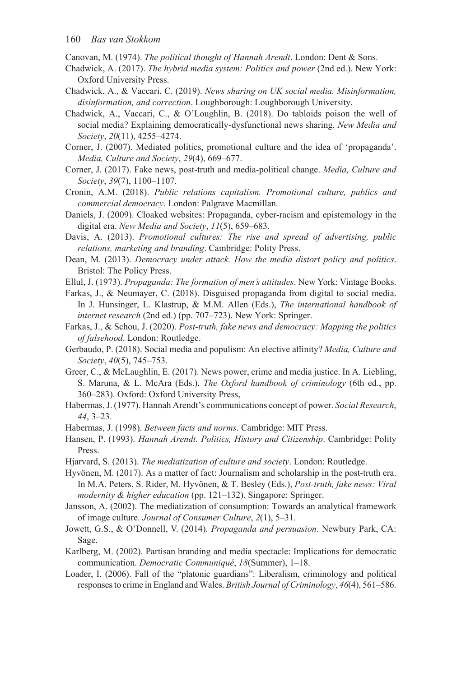Canovan, M. (1974). *The political thought of Hannah Arendt*. London: Dent & Sons.

- Chadwick, A. (2017). *The hybrid media system: Politics and power* (2nd ed.). New York: Oxford University Press.
- Chadwick, A., & Vaccari, C. (2019). *News sharing on UK social media. Misinformation, disinformation, and correction*. Loughborough: Loughborough University.
- Chadwick, A., Vaccari, C., & O'Loughlin, B. (2018). Do tabloids poison the well of social media? Explaining democratically-dysfunctional news sharing. *New Media and Society*, *20*(11), 4255–4274.
- Corner, J. (2007). Mediated politics, promotional culture and the idea of 'propaganda'. *Media, Culture and Society*, *29*(4), 669–677.
- Corner, J. (2017). Fake news, post-truth and media-political change. *Media, Culture and Society*, *39*(7), 1100–1107.
- Cronin, A.M. (2018). *Public relations capitalism. Promotional culture, publics and commercial democracy*. London: Palgrave Macmillan.
- Daniels, J. (2009). Cloaked websites: Propaganda, cyber-racism and epistemology in the digital era. *New Media and Society*, *11*(5), 659–683.
- Davis, A. (2013). *Promotional cultures: The rise and spread of advertising, public relations, marketing and branding*. Cambridge: Polity Press.
- Dean, M. (2013). *Democracy under attack. How the media distort policy and politics*. Bristol: The Policy Press.
- Ellul, J. (1973). *Propaganda: The formation of men's attitudes*. New York: Vintage Books.
- Farkas, J., & Neumayer, C. (2018). Disguised propaganda from digital to social media. In J. Hunsinger, L. Klastrup, & M.M. Allen (Eds.), *The international handbook of internet research* (2nd ed.) (pp. 707–723). New York: Springer.
- Farkas, J., & Schou, J. (2020). *Post-truth, fake news and democracy: Mapping the politics of falsehood*. London: Routledge.
- Gerbaudo, P. (2018). Social media and populism: An elective affinity? *Media, Culture and Society*, *40*(5), 745–753.
- Greer, C., & McLaughlin, E. (2017). News power, crime and media justice. In A. Liebling, S. Maruna, & L. McAra (Eds.), *The Oxford handbook of criminology* (6th ed., pp. 360–283). Oxford: Oxford University Press,
- Habermas, J. (1977). Hannah Arendt's communications concept of power. *Social Research*, *44*, 3–23.
- Habermas, J. (1998). *Between facts and norms*. Cambridge: MIT Press.
- Hansen, P. (1993). *Hannah Arendt. Politics, History and Citizenship*. Cambridge: Polity Press.
- Hjarvard, S. (2013). *The mediatization of culture and society*. London: Routledge.
- Hyvönen, M. (2017). As a matter of fact: Journalism and scholarship in the post-truth era. In M.A. Peters, S. Rider, M. Hyvönen, & T. Besley (Eds.), *Post-truth, fake news: Viral modernity & higher education* (pp. 121–132). Singapore: Springer.
- Jansson, A. (2002). The mediatization of consumption: Towards an analytical framework of image culture. *Journal of Consumer Culture*, *2*(1), 5–31.
- Jowett, G.S., & O'Donnell, V. (2014). *Propaganda and persuasion*. Newbury Park, CA: Sage.
- Karlberg, M. (2002). Partisan branding and media spectacle: Implications for democratic communication. *Democratic Communiqué*, *18*(Summer), 1–18.
- Loader, I. (2006). Fall of the "platonic guardians": Liberalism, criminology and political responses to crime in England and Wales. *British Journal of Criminology*, *46*(4), 561–586.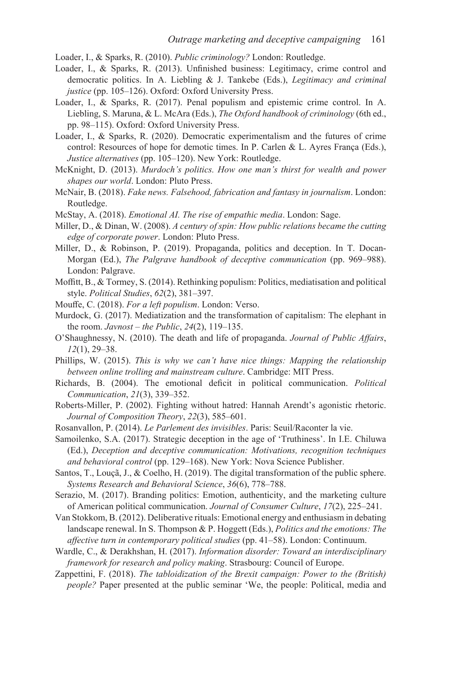Loader, I., & Sparks, R. (2010). *Public criminology?* London: Routledge.

- Loader, I., & Sparks, R. (2013). Unfinished business: Legitimacy, crime control and democratic politics. In A. Liebling & J. Tankebe (Eds.), *Legitimacy and criminal justice* (pp. 105–126). Oxford: Oxford University Press.
- Loader, I., & Sparks, R. (2017). Penal populism and epistemic crime control. In A. Liebling, S. Maruna, & L. McAra (Eds.), *The Oxford handbook of criminology* (6th ed., pp. 98–115). Oxford: Oxford University Press.
- Loader, I., & Sparks, R. (2020). Democratic experimentalism and the futures of crime control: Resources of hope for demotic times. In P. Carlen & L. Ayres França (Eds.), *Justice alternatives* (pp. 105–120). New York: Routledge.
- McKnight, D. (2013). *Murdoch's politics. How one man's thirst for wealth and power shapes our world*. London: Pluto Press.
- McNair, B. (2018). *Fake news. Falsehood, fabrication and fantasy in journalism*. London: Routledge.
- McStay, A. (2018). *Emotional AI. The rise of empathic media*. London: Sage.
- Miller, D., & Dinan, W. (2008). *A century of spin: How public relations became the cutting edge of corporate power*. London: Pluto Press.
- Miller, D., & Robinson, P. (2019). Propaganda, politics and deception. In T. Docan-Morgan (Ed.), *The Palgrave handbook of deceptive communication* (pp. 969–988). London: Palgrave.
- Moffitt, B., & Tormey, S. (2014). Rethinking populism: Politics, mediatisation and political style. *Political Studies*, *62*(2), 381–397.
- Mouffe, C. (2018). *For a left populism*. London: Verso.
- Murdock, G. (2017). Mediatization and the transformation of capitalism: The elephant in the room. *Javnost – the Public*, *24*(2), 119–135.
- O'Shaughnessy, N. (2010). The death and life of propaganda. *Journal of Public Affairs*, *12*(1), 29–38.
- Phillips, W. (2015). *This is why we can't have nice things: Mapping the relationship between online trolling and mainstream culture*. Cambridge: MIT Press.
- Richards, B. (2004). The emotional deficit in political communication. *Political Communication*, *21*(3), 339–352.
- Roberts-Miller, P. (2002). Fighting without hatred: Hannah Arendt's agonistic rhetoric. *Journal of Composition Theory*, *22*(3), 585–601.
- Rosanvallon, P. (2014). *Le Parlement des invisibles*. Paris: Seuil/Raconter la vie.
- Samoilenko, S.A. (2017). Strategic deception in the age of 'Truthiness'. In I.E. Chiluwa (Ed.), *Deception and deceptive communication: Motivations, recognition techniques and behavioral control* (pp. 129–168). New York: Nova Science Publisher.
- Santos, T., Louçã, J., & Coelho, H. (2019). The digital transformation of the public sphere. *Systems Research and Behavioral Science*, *36*(6), 778–788.
- Serazio, M. (2017). Branding politics: Emotion, authenticity, and the marketing culture of American political communication. *Journal of Consumer Culture*, *17*(2), 225–241.
- Van Stokkom, B. (2012). Deliberative rituals: Emotional energy and enthusiasm in debating landscape renewal. In S. Thompson & P. Hoggett (Eds.), *Politics and the emotions: The affective turn in contemporary political studies* (pp. 41–58). London: Continuum.
- Wardle, C., & Derakhshan, H. (2017). *Information disorder: Toward an interdisciplinary framework for research and policy making*. Strasbourg: Council of Europe.
- Zappettini, F. (2018). *The tabloidization of the Brexit campaign: Power to the (British) people?* Paper presented at the public seminar 'We, the people: Political, media and